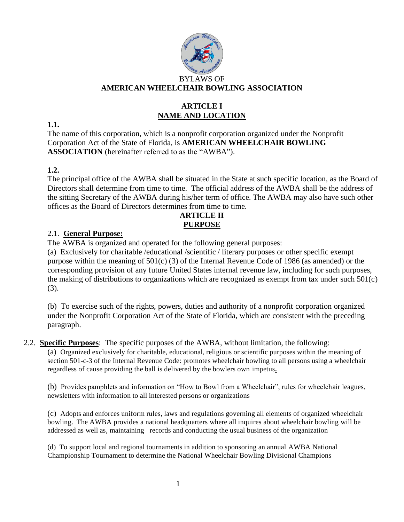

# **ARTICLE I NAME AND LOCATION**

**1.1.** 

The name of this corporation, which is a nonprofit corporation organized under the Nonprofit Corporation Act of the State of Florida, is **AMERICAN WHEELCHAIR BOWLING ASSOCIATION** (hereinafter referred to as the "AWBA").

# **1.2.**

The principal office of the AWBA shall be situated in the State at such specific location, as the Board of Directors shall determine from time to time. The official address of the AWBA shall be the address of the sitting Secretary of the AWBA during his/her term of office. The AWBA may also have such other offices as the Board of Directors determines from time to time.

# **ARTICLE II PURPOSE**

## 2.1. **General Purpose:**

The AWBA is organized and operated for the following general purposes:

(a) Exclusively for charitable /educational /scientific / literary purposes or other specific exempt purpose within the meaning of 501(c) (3) of the Internal Revenue Code of 1986 (as amended) or the corresponding provision of any future United States internal revenue law, including for such purposes, the making of distributions to organizations which are recognized as exempt from tax under such 501(c) (3).

(b) To exercise such of the rights, powers, duties and authority of a nonprofit corporation organized under the Nonprofit Corporation Act of the State of Florida, which are consistent with the preceding paragraph.

# 2.2. **Specific Purposes**: The specific purposes of the AWBA, without limitation, the following:

(a) Organized exclusively for charitable, educational, religious or scientific purposes within the meaning of section 501-c-3 of the Internal Revenue Code: promotes wheelchair bowling to all persons using a wheelchair regardless of cause providing the ball is delivered by the bowlers own impetus**.** 

(b) Provides pamphlets and information on "How to Bowl from a Wheelchair", rules for wheelchair leagues, newsletters with information to all interested persons or organizations

(c) Adopts and enforces uniform rules, laws and regulations governing all elements of organized wheelchair bowling. The AWBA provides a national headquarters where all inquires about wheelchair bowling will be addressed as well as, maintaining records and conducting the usual business of the organization

(d) To support local and regional tournaments in addition to sponsoring an annual AWBA National Championship Tournament to determine the National Wheelchair Bowling Divisional Champions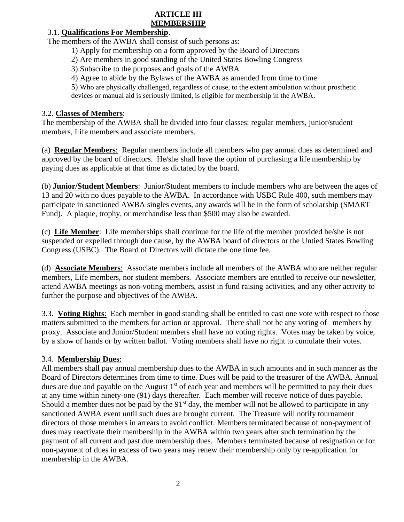#### **ARTICLE III MEMBERSHIP**

# 3.1. **Qualifications For Membership**.

The members of the AWBA shall consist of such persons as:

- 1) Apply for membership on a form approved by the Board of Directors
- 2) Are members in good standing of the United States Bowling Congress
- 3) Subscribe to the purposes and goals of the AWBA
- 4) Agree to abide by the Bylaws of the AWBA as amended from time to time

5) Who are physically challenged, regardless of cause, to the extent ambulation without prosthetic devices or manual aid is seriously limited, is eligible for membership in the AWBA.

## 3.2. **Classes of Members**:

The membership of the AWBA shall be divided into four classes: regular members, junior/student members, Life members and associate members.

(a) **Regular Members**: Regular members include all members who pay annual dues as determined and approved by the board of directors. He/she shall have the option of purchasing a life membership by paying dues as applicable at that time as dictated by the board.

(b) **Junior/Student Members**: Junior/Student members to include members who are between the ages of 13 and 20 with no dues payable to the AWBA. In accordance with USBC Rule 400, such members may participate in sanctioned AWBA singles events, any awards will be in the form of scholarship (SMART Fund). A plaque, trophy, or merchandise less than \$500 may also be awarded.

(c) **Life Member**: Life memberships shall continue for the life of the member provided he/she is not suspended or expelled through due cause, by the AWBA board of directors or the Untied States Bowling Congress (USBC). The Board of Directors will dictate the one time fee.

(d) **Associate Members**: Associate members include all members of the AWBA who are neither regular members, Life members, nor student members. Associate members are entitled to receive our newsletter, attend AWBA meetings as non-voting members, assist in fund raising activities, and any other activity to further the purpose and objectives of the AWBA.

3.3. **Voting Rights**: Each member in good standing shall be entitled to cast one vote with respect to those matters submitted to the members for action or approval. There shall not be any voting of members by proxy. Associate and Junior/Student members shall have no voting rights. Votes may be taken by voice, by a show of hands or by written ballot. Voting members shall have no right to cumulate their votes.

# 3.4. **Membership Dues**:

All members shall pay annual membership dues to the AWBA in such amounts and in such manner as the Board of Directors determines from time to time. Dues will be paid to the treasurer of the AWBA. Annual dues are due and payable on the August  $1<sup>st</sup>$  of each year and members will be permitted to pay their dues at any time within ninety-one (91) days thereafter. Each member will receive notice of dues payable. Should a member dues not be paid by the  $91<sup>st</sup>$  day, the member will not be allowed to participate in any sanctioned AWBA event until such dues are brought current. The Treasure will notify tournament directors of those members in arrears to avoid conflict. Members terminated because of non-payment of dues may reactivate their membership in the AWBA within two years after such termination by the payment of all current and past due membership dues. Members terminated because of resignation or for non-payment of dues in excess of two years may renew their membership only by re-application for membership in the AWBA.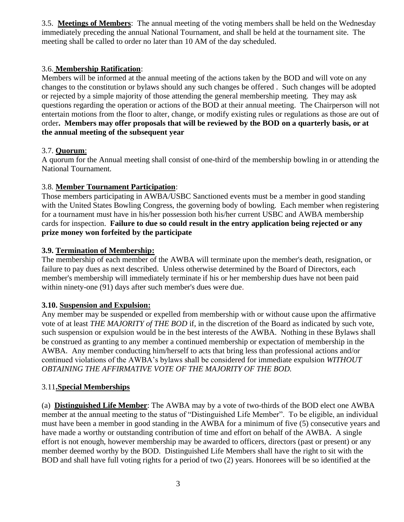3.5. **Meetings of Members**: The annual meeting of the voting members shall be held on the Wednesday immediately preceding the annual National Tournament, and shall be held at the tournament site. The meeting shall be called to order no later than 10 AM of the day scheduled.

#### 3.6. **Membership Ratification**:

Members will be informed at the annual meeting of the actions taken by the BOD and will vote on any changes to the constitution or bylaws should any such changes be offered . Such changes will be adopted or rejected by a simple majority of those attending the general membership meeting. They may ask questions regarding the operation or actions of the BOD at their annual meeting. The Chairperson will not entertain motions from the floor to alter, change, or modify existing rules or regulations as those are out of order**. Members may offer proposals that will be reviewed by the BOD on a quarterly basis, or at the annual meeting of the subsequent year**

## 3.7. **Quorum**:

A quorum for the Annual meeting shall consist of one-third of the membership bowling in or attending the National Tournament.

## 3.8. **Member Tournament Participation**:

 Those members participating in AWBA/USBC Sanctioned events must be a member in good standing with the United States Bowling Congress, the governing body of bowling. Each member when registering for a tournament must have in his/her possession both his/her current USBC and AWBA membership cards for inspection. **Failure to due so could result in the entry application being rejected or any prize money won forfeited by the participate**

## **3.9. Termination of Membership:**

The membership of each member of the AWBA will terminate upon the member's death, resignation, or failure to pay dues as next described. Unless otherwise determined by the Board of Directors, each member's membership will immediately terminate if his or her membership dues have not been paid within ninety-one (91) days after such member's dues were due.

#### **3.10. Suspension and Expulsion:**

Any member may be suspended or expelled from membership with or without cause upon the affirmative vote of at least *THE MAJORITY of THE BOD* if, in the discretion of the Board as indicated by such vote, such suspension or expulsion would be in the best interests of the AWBA. Nothing in these Bylaws shall be construed as granting to any member a continued membership or expectation of membership in the AWBA. Any member conducting him/herself to acts that bring less than professional actions and/or continued violations of the AWBA's bylaws shall be considered for immediate expulsion *WITHOUT OBTAINING THE AFFIRMATIVE VOTE OF THE MAJORITY OF THE BOD.*

#### 3.11**.Special Memberships**

(a) **Distinguished Life Member**: The AWBA may by a vote of two-thirds of the BOD elect one AWBA member at the annual meeting to the status of "Distinguished Life Member". To be eligible, an individual must have been a member in good standing in the AWBA for a minimum of five (5) consecutive years and have made a worthy or outstanding contribution of time and effort on behalf of the AWBA. A single effort is not enough, however membership may be awarded to officers, directors (past or present) or any member deemed worthy by the BOD. Distinguished Life Members shall have the right to sit with the BOD and shall have full voting rights for a period of two (2) years. Honorees will be so identified at the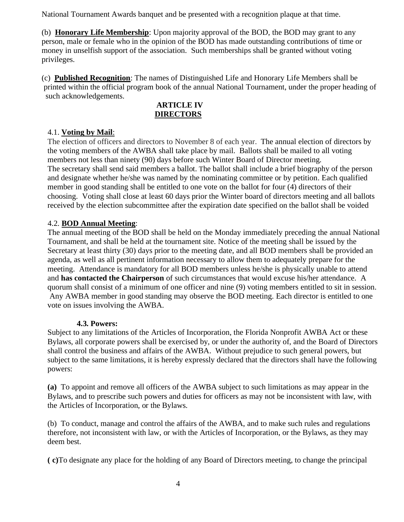National Tournament Awards banquet and be presented with a recognition plaque at that time.

(b) **Honorary Life Membership**: Upon majority approval of the BOD, the BOD may grant to any person, male or female who in the opinion of the BOD has made outstanding contributions of time or money in unselfish support of the association. Such memberships shall be granted without voting privileges.

(c) **Published Recognition**: The names of Distinguished Life and Honorary Life Members shall be printed within the official program book of the annual National Tournament, under the proper heading of such acknowledgements.

## **ARTICLE IV DIRECTORS**

## 4.1. **Voting by Mail**:

The election of officers and directors to November 8 of each year. The annual election of directors by the voting members of the AWBA shall take place by mail. Ballots shall be mailed to all voting members not less than ninety (90) days before such Winter Board of Director meeting. The secretary shall send said members a ballot. The ballot shall include a brief biography of the person and designate whether he/she was named by the nominating committee or by petition. Each qualified member in good standing shall be entitled to one vote on the ballot for four (4) directors of their choosing. Voting shall close at least 60 days prior the Winter board of directors meeting and all ballots received by the election subcommittee after the expiration date specified on the ballot shall be voided

## 4.2. **BOD Annual Meeting**:

The annual meeting of the BOD shall be held on the Monday immediately preceding the annual National Tournament, and shall be held at the tournament site. Notice of the meeting shall be issued by the Secretary at least thirty (30) days prior to the meeting date, and all BOD members shall be provided an agenda, as well as all pertinent information necessary to allow them to adequately prepare for the meeting. Attendance is mandatory for all BOD members unless he/she is physically unable to attend and **has contacted the Chairperson** of such circumstances that would excuse his/her attendance. A quorum shall consist of a minimum of one officer and nine (9) voting members entitled to sit in session. Any AWBA member in good standing may observe the BOD meeting. Each director is entitled to one vote on issues involving the AWBA.

#### **4.3. Powers:**

Subject to any limitations of the Articles of Incorporation, the Florida Nonprofit AWBA Act or these Bylaws, all corporate powers shall be exercised by, or under the authority of, and the Board of Directors shall control the business and affairs of the AWBA. Without prejudice to such general powers, but subject to the same limitations, it is hereby expressly declared that the directors shall have the following powers:

**(a)** To appoint and remove all officers of the AWBA subject to such limitations as may appear in the Bylaws, and to prescribe such powers and duties for officers as may not be inconsistent with law, with the Articles of Incorporation, or the Bylaws.

(b) To conduct, manage and control the affairs of the AWBA, and to make such rules and regulations therefore, not inconsistent with law, or with the Articles of Incorporation, or the Bylaws, as they may deem best.

**( c)**To designate any place for the holding of any Board of Directors meeting, to change the principal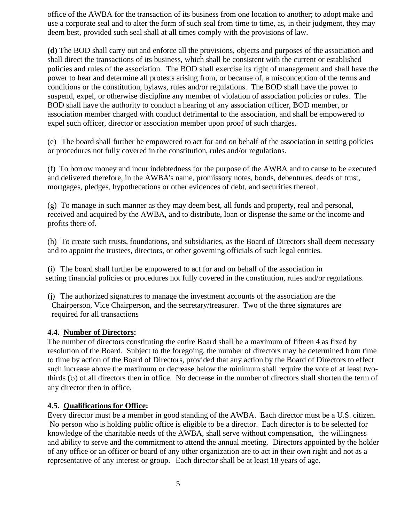office of the AWBA for the transaction of its business from one location to another; to adopt make and use a corporate seal and to alter the form of such seal from time to time, as, in their judgment, they may deem best, provided such seal shall at all times comply with the provisions of law.

**(d)** The BOD shall carry out and enforce all the provisions, objects and purposes of the association and shall direct the transactions of its business, which shall be consistent with the current or established policies and rules of the association. The BOD shall exercise its right of management and shall have the power to hear and determine all protests arising from, or because of, a misconception of the terms and conditions or the constitution, bylaws, rules and/or regulations. The BOD shall have the power to suspend, expel, or otherwise discipline any member of violation of association policies or rules. The BOD shall have the authority to conduct a hearing of any association officer, BOD member, or association member charged with conduct detrimental to the association, and shall be empowered to expel such officer, director or association member upon proof of such charges.

(e) The board shall further be empowered to act for and on behalf of the association in setting policies or procedures not fully covered in the constitution, rules and/or regulations.

(f) To borrow money and incur indebtedness for the purpose of the AWBA and to cause to be executed and delivered therefore, in the AWBA's name, promissory notes, bonds, debentures, deeds of trust, mortgages, pledges, hypothecations or other evidences of debt, and securities thereof.

(g) To manage in such manner as they may deem best, all funds and property, real and personal, received and acquired by the AWBA, and to distribute, loan or dispense the same or the income and profits there of.

(h) To create such trusts, foundations, and subsidiaries, as the Board of Directors shall deem necessary and to appoint the trustees, directors, or other governing officials of such legal entities.

 (i) The board shall further be empowered to act for and on behalf of the association in setting financial policies or procedures not fully covered in the constitution, rules and/or regulations.

 (j) The authorized signatures to manage the investment accounts of the association are the Chairperson, Vice Chairperson, and the secretary/treasurer. Two of the three signatures are required for all transactions

#### **4.4. Number of Directors:**

The number of directors constituting the entire Board shall be a maximum of fifteen 4 as fixed by resolution of the Board. Subject to the foregoing, the number of directors may be determined from time to time by action of the Board of Directors, provided that any action by the Board of Directors to effect such increase above the maximum or decrease below the minimum shall require the vote of at least twothirds (b) of all directors then in office. No decrease in the number of directors shall shorten the term of any director then in office.

#### **4.5. Qualifications for Office:**

Every director must be a member in good standing of the AWBA. Each director must be a U.S. citizen. No person who is holding public office is eligible to be a director. Each director is to be selected for knowledge of the charitable needs of the AWBA, shall serve without compensation, the willingness and ability to serve and the commitment to attend the annual meeting. Directors appointed by the holder of any office or an officer or board of any other organization are to act in their own right and not as a representative of any interest or group. Each director shall be at least 18 years of age.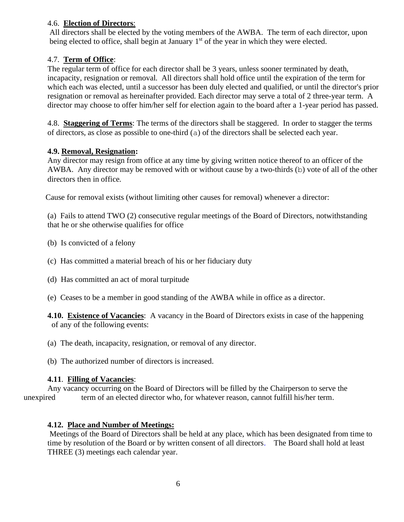#### 4.6. **Election of Directors**:

All directors shall be elected by the voting members of the AWBA. The term of each director, upon being elected to office, shall begin at January 1<sup>st</sup> of the year in which they were elected.

# 4.7. **Term of Office**:

The regular term of office for each director shall be 3 years, unless sooner terminated by death, incapacity, resignation or removal. All directors shall hold office until the expiration of the term for which each was elected, until a successor has been duly elected and qualified, or until the director's prior resignation or removal as hereinafter provided. Each director may serve a total of 2 three-year term. A director may choose to offer him/her self for election again to the board after a 1-year period has passed.

4.8. **Staggering of Terms**: The terms of the directors shall be staggered. In order to stagger the terms of directors, as close as possible to one-third (a) of the directors shall be selected each year.

## **4.9. Removal, Resignation:**

Any director may resign from office at any time by giving written notice thereof to an officer of the AWBA. Any director may be removed with or without cause by a two-thirds (b) vote of all of the other directors then in office.

Cause for removal exists (without limiting other causes for removal) whenever a director:

(a) Fails to attend TWO (2) consecutive regular meetings of the Board of Directors, notwithstanding that he or she otherwise qualifies for office

- (b) Is convicted of a felony
- (c) Has committed a material breach of his or her fiduciary duty
- (d) Has committed an act of moral turpitude
- (e) Ceases to be a member in good standing of the AWBA while in office as a director.

**4.10. Existence of Vacancies**: A vacancy in the Board of Directors exists in case of the happening of any of the following events:

- (a) The death, incapacity, resignation, or removal of any director.
- (b) The authorized number of directors is increased.

#### **4.11**. **Filling of Vacancies**:

Any vacancy occurring on the Board of Directors will be filled by the Chairperson to serve the unexpired term of an elected director who, for whatever reason, cannot fulfill his/her term.

#### **4.12. Place and Number of Meetings:**

Meetings of the Board of Directors shall be held at any place, which has been designated from time to time by resolution of the Board or by written consent of all directors. The Board shall hold at least THREE (3) meetings each calendar year.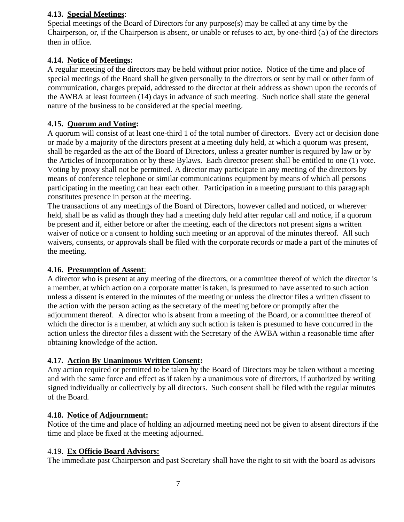# **4.13. Special Meetings**:

Special meetings of the Board of Directors for any purpose(s) may be called at any time by the Chairperson, or, if the Chairperson is absent, or unable or refuses to act, by one-third (a) of the directors then in office.

# **4.14. Notice of Meetings:**

A regular meeting of the directors may be held without prior notice. Notice of the time and place of special meetings of the Board shall be given personally to the directors or sent by mail or other form of communication, charges prepaid, addressed to the director at their address as shown upon the records of the AWBA at least fourteen (14) days in advance of such meeting. Such notice shall state the general nature of the business to be considered at the special meeting.

#### **4.15. Quorum and Voting:**

A quorum will consist of at least one-third 1 of the total number of directors. Every act or decision done or made by a majority of the directors present at a meeting duly held, at which a quorum was present, shall be regarded as the act of the Board of Directors, unless a greater number is required by law or by the Articles of Incorporation or by these Bylaws. Each director present shall be entitled to one (1) vote. Voting by proxy shall not be permitted. A director may participate in any meeting of the directors by means of conference telephone or similar communications equipment by means of which all persons participating in the meeting can hear each other. Participation in a meeting pursuant to this paragraph constitutes presence in person at the meeting.

The transactions of any meetings of the Board of Directors, however called and noticed, or wherever held, shall be as valid as though they had a meeting duly held after regular call and notice, if a quorum be present and if, either before or after the meeting, each of the directors not present signs a written waiver of notice or a consent to holding such meeting or an approval of the minutes thereof. All such waivers, consents, or approvals shall be filed with the corporate records or made a part of the minutes of the meeting.

#### **4.16. Presumption of Assent**:

A director who is present at any meeting of the directors, or a committee thereof of which the director is a member, at which action on a corporate matter is taken, is presumed to have assented to such action unless a dissent is entered in the minutes of the meeting or unless the director files a written dissent to the action with the person acting as the secretary of the meeting before or promptly after the adjournment thereof. A director who is absent from a meeting of the Board, or a committee thereof of which the director is a member, at which any such action is taken is presumed to have concurred in the action unless the director files a dissent with the Secretary of the AWBA within a reasonable time after obtaining knowledge of the action.

#### **4.17. Action By Unanimous Written Consent:**

Any action required or permitted to be taken by the Board of Directors may be taken without a meeting and with the same force and effect as if taken by a unanimous vote of directors, if authorized by writing signed individually or collectively by all directors. Such consent shall be filed with the regular minutes of the Board.

#### **4.18. Notice of Adjournment:**

Notice of the time and place of holding an adjourned meeting need not be given to absent directors if the time and place be fixed at the meeting adjourned.

#### 4.19. **Ex Officio Board Advisors:**

The immediate past Chairperson and past Secretary shall have the right to sit with the board as advisors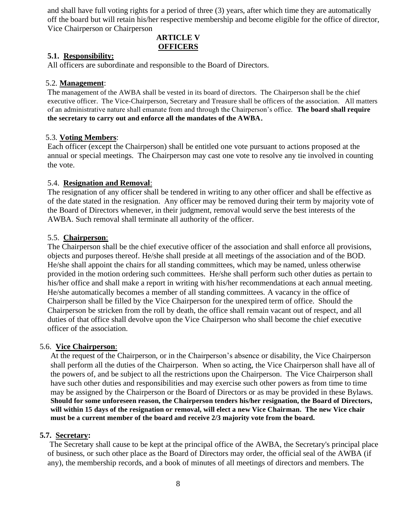and shall have full voting rights for a period of three (3) years, after which time they are automatically off the board but will retain his/her respective membership and become eligible for the office of director, Vice Chairperson or Chairperson

# **ARTICLE V OFFICERS**

#### **5.1. Responsibility:**

All officers are subordinate and responsible to the Board of Directors.

#### 5.2. **Management**:

The management of the AWBA shall be vested in its board of directors. The Chairperson shall be the chief executive officer. The Vice-Chairperson, Secretary and Treasure shall be officers of the association. All matters of an administrative nature shall emanate from and through the Chairperson's office. **The board shall require the secretary to carry out and enforce all the mandates of the AWBA**.

#### 5.3. **Voting Members**:

Each officer (except the Chairperson) shall be entitled one vote pursuant to actions proposed at the annual or special meetings. The Chairperson may cast one vote to resolve any tie involved in counting the vote.

#### 5.4. **Resignation and Removal**:

The resignation of any officer shall be tendered in writing to any other officer and shall be effective as of the date stated in the resignation. Any officer may be removed during their term by majority vote of the Board of Directors whenever, in their judgment, removal would serve the best interests of the AWBA. Such removal shall terminate all authority of the officer.

#### 5.5. **Chairperson**:

The Chairperson shall be the chief executive officer of the association and shall enforce all provisions, objects and purposes thereof. He/she shall preside at all meetings of the association and of the BOD. He/she shall appoint the chairs for all standing committees, which may be named, unless otherwise provided in the motion ordering such committees. He/she shall perform such other duties as pertain to his/her office and shall make a report in writing with his/her recommendations at each annual meeting. He/she automatically becomes a member of all standing committees. A vacancy in the office of Chairperson shall be filled by the Vice Chairperson for the unexpired term of office. Should the Chairperson be stricken from the roll by death, the office shall remain vacant out of respect, and all duties of that office shall devolve upon the Vice Chairperson who shall become the chief executive officer of the association.

#### 5.6. **Vice Chairperson**:

At the request of the Chairperson, or in the Chairperson's absence or disability, the Vice Chairperson shall perform all the duties of the Chairperson. When so acting, the Vice Chairperson shall have all of the powers of, and be subject to all the restrictions upon the Chairperson. The Vice Chairperson shall have such other duties and responsibilities and may exercise such other powers as from time to time may be assigned by the Chairperson or the Board of Directors or as may be provided in these Bylaws. **Should for some unforeseen reason, the Chairperson tenders his/her resignation, the Board of Directors, will within 15 days of the resignation or removal, will elect a new Vice Chairman. The new Vice chair must be a current member of the board and receive 2/3 majority vote from the board.** 

#### **5.7. Secretary:**

The Secretary shall cause to be kept at the principal office of the AWBA, the Secretary's principal place of business, or such other place as the Board of Directors may order, the official seal of the AWBA (if any), the membership records, and a book of minutes of all meetings of directors and members. The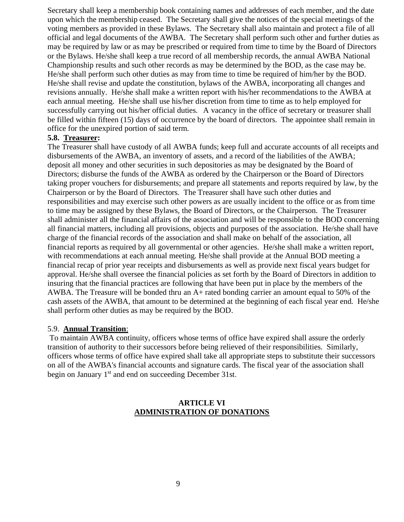Secretary shall keep a membership book containing names and addresses of each member, and the date upon which the membership ceased. The Secretary shall give the notices of the special meetings of the voting members as provided in these Bylaws. The Secretary shall also maintain and protect a file of all official and legal documents of the AWBA. The Secretary shall perform such other and further duties as may be required by law or as may be prescribed or required from time to time by the Board of Directors or the Bylaws. He/she shall keep a true record of all membership records, the annual AWBA National Championship results and such other records as may be determined by the BOD, as the case may be. He/she shall perform such other duties as may from time to time be required of him/her by the BOD. He/she shall revise and update the constitution, bylaws of the AWBA, incorporating all changes and revisions annually. He/she shall make a written report with his/her recommendations to the AWBA at each annual meeting. He/she shall use his/her discretion from time to time as to help employed for successfully carrying out his/her official duties. A vacancy in the office of secretary or treasurer shall be filled within fifteen (15) days of occurrence by the board of directors. The appointee shall remain in office for the unexpired portion of said term.

#### **5.8. Treasurer:**

The Treasurer shall have custody of all AWBA funds; keep full and accurate accounts of all receipts and disbursements of the AWBA, an inventory of assets, and a record of the liabilities of the AWBA; deposit all money and other securities in such depositories as may be designated by the Board of Directors; disburse the funds of the AWBA as ordered by the Chairperson or the Board of Directors taking proper vouchers for disbursements; and prepare all statements and reports required by law, by the Chairperson or by the Board of Directors. The Treasurer shall have such other duties and responsibilities and may exercise such other powers as are usually incident to the office or as from time to time may be assigned by these Bylaws, the Board of Directors, or the Chairperson. The Treasurer shall administer all the financial affairs of the association and will be responsible to the BOD concerning all financial matters, including all provisions, objects and purposes of the association. He/she shall have charge of the financial records of the association and shall make on behalf of the association, all financial reports as required by all governmental or other agencies. He/she shall make a written report, with recommendations at each annual meeting. He/she shall provide at the Annual BOD meeting a financial recap of prior year receipts and disbursements as well as provide next fiscal years budget for approval. He/she shall oversee the financial policies as set forth by the Board of Directors in addition to insuring that the financial practices are following that have been put in place by the members of the AWBA. The Treasure will be bonded thru an A+ rated bonding carrier an amount equal to 50% of the cash assets of the AWBA, that amount to be determined at the beginning of each fiscal year end. He/she shall perform other duties as may be required by the BOD.

#### 5.9. **Annual Transition**:

To maintain AWBA continuity, officers whose terms of office have expired shall assure the orderly transition of authority to their successors before being relieved of their responsibilities. Similarly, officers whose terms of office have expired shall take all appropriate steps to substitute their successors on all of the AWBA's financial accounts and signature cards. The fiscal year of the association shall begin on January  $1<sup>st</sup>$  and end on succeeding December 31st.

#### **ARTICLE VI ADMINISTRATION OF DONATIONS**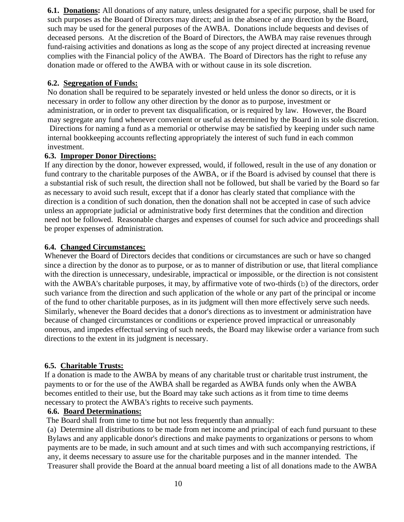**6.1. Donations:** All donations of any nature, unless designated for a specific purpose, shall be used for such purposes as the Board of Directors may direct; and in the absence of any direction by the Board, such may be used for the general purposes of the AWBA. Donations include bequests and devises of deceased persons. At the discretion of the Board of Directors, the AWBA may raise revenues through fund-raising activities and donations as long as the scope of any project directed at increasing revenue complies with the Financial policy of the AWBA. The Board of Directors has the right to refuse any donation made or offered to the AWBA with or without cause in its sole discretion.

#### **6.2. Segregation of Funds:**

No donation shall be required to be separately invested or held unless the donor so directs, or it is necessary in order to follow any other direction by the donor as to purpose, investment or administration, or in order to prevent tax disqualification, or is required by law. However, the Board may segregate any fund whenever convenient or useful as determined by the Board in its sole discretion.

Directions for naming a fund as a memorial or otherwise may be satisfied by keeping under such name internal bookkeeping accounts reflecting appropriately the interest of such fund in each common investment.

#### **6.3. Improper Donor Directions:**

If any direction by the donor, however expressed, would, if followed, result in the use of any donation or fund contrary to the charitable purposes of the AWBA, or if the Board is advised by counsel that there is a substantial risk of such result, the direction shall not be followed, but shall be varied by the Board so far as necessary to avoid such result, except that if a donor has clearly stated that compliance with the direction is a condition of such donation, then the donation shall not be accepted in case of such advice unless an appropriate judicial or administrative body first determines that the condition and direction need not be followed. Reasonable charges and expenses of counsel for such advice and proceedings shall be proper expenses of administration.

#### **6.4. Changed Circumstances:**

Whenever the Board of Directors decides that conditions or circumstances are such or have so changed since a direction by the donor as to purpose, or as to manner of distribution or use, that literal compliance with the direction is unnecessary, undesirable, impractical or impossible, or the direction is not consistent with the AWBA's charitable purposes, it may, by affirmative vote of two-thirds (b) of the directors, order such variance from the direction and such application of the whole or any part of the principal or income of the fund to other charitable purposes, as in its judgment will then more effectively serve such needs. Similarly, whenever the Board decides that a donor's directions as to investment or administration have because of changed circumstances or conditions or experience proved impractical or unreasonably onerous, and impedes effectual serving of such needs, the Board may likewise order a variance from such directions to the extent in its judgment is necessary.

#### **6.5. Charitable Trusts:**

If a donation is made to the AWBA by means of any charitable trust or charitable trust instrument, the payments to or for the use of the AWBA shall be regarded as AWBA funds only when the AWBA becomes entitled to their use, but the Board may take such actions as it from time to time deems necessary to protect the AWBA's rights to receive such payments.

#### **6.6. Board Determinations:**

The Board shall from time to time but not less frequently than annually:

(a) Determine all distributions to be made from net income and principal of each fund pursuant to these Bylaws and any applicable donor's directions and make payments to organizations or persons to whom payments are to be made, in such amount and at such times and with such accompanying restrictions, if any, it deems necessary to assure use for the charitable purposes and in the manner intended. The Treasurer shall provide the Board at the annual board meeting a list of all donations made to the AWBA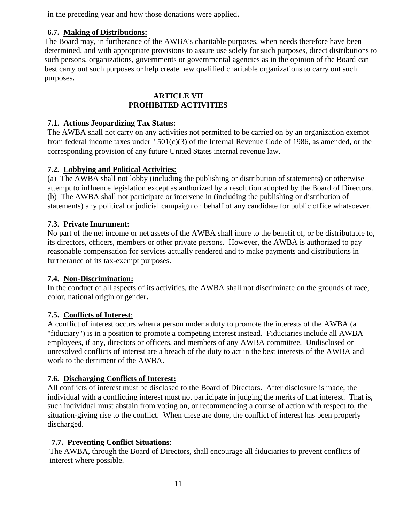in the preceding year and how those donations were applied**.**

# **6.7. Making of Distributions:**

The Board may, in furtherance of the AWBA's charitable purposes, when needs therefore have been determined, and with appropriate provisions to assure use solely for such purposes, direct distributions to such persons, organizations, governments or governmental agencies as in the opinion of the Board can best carry out such purposes or help create new qualified charitable organizations to carry out such purposes**.**

# **ARTICLE VII PROHIBITED ACTIVITIES**

# **7.1. Actions Jeopardizing Tax Status:**

The AWBA shall not carry on any activities not permitted to be carried on by an organization exempt from federal income taxes under '501(c)(3) of the Internal Revenue Code of 1986, as amended, or the corresponding provision of any future United States internal revenue law.

# **7.2. Lobbying and Political Activities:**

(a) The AWBA shall not lobby (including the publishing or distribution of statements) or otherwise attempt to influence legislation except as authorized by a resolution adopted by the Board of Directors. (b) The AWBA shall not participate or intervene in (including the publishing or distribution of statements) any political or judicial campaign on behalf of any candidate for public office whatsoever.

# **7.3. Private Inurnment:**

No part of the net income or net assets of the AWBA shall inure to the benefit of, or be distributable to, its directors, officers, members or other private persons. However, the AWBA is authorized to pay reasonable compensation for services actually rendered and to make payments and distributions in furtherance of its tax-exempt purposes.

# **7.4. Non-Discrimination:**

In the conduct of all aspects of its activities, the AWBA shall not discriminate on the grounds of race, color, national origin or gender**.**

# **7.5. Conflicts of Interest**:

A conflict of interest occurs when a person under a duty to promote the interests of the AWBA (a "fiduciary") is in a position to promote a competing interest instead. Fiduciaries include all AWBA employees, if any, directors or officers, and members of any AWBA committee. Undisclosed or unresolved conflicts of interest are a breach of the duty to act in the best interests of the AWBA and work to the detriment of the AWBA.

# **7.6. Discharging Conflicts of Interest:**

All conflicts of interest must be disclosed to the Board o**f** Directors. After disclosure is made, the individual with a conflicting interest must not participate in judging the merits of that interest. That is, such individual must abstain from voting on, or recommending a course of action with respect to, the situation-giving rise to the conflict. When these are done, the conflict of interest has been properly discharged.

# **7.7. Preventing Conflict Situations**:

 The AWBA, through the Board of Directors, shall encourage all fiduciaries to prevent conflicts of interest where possible.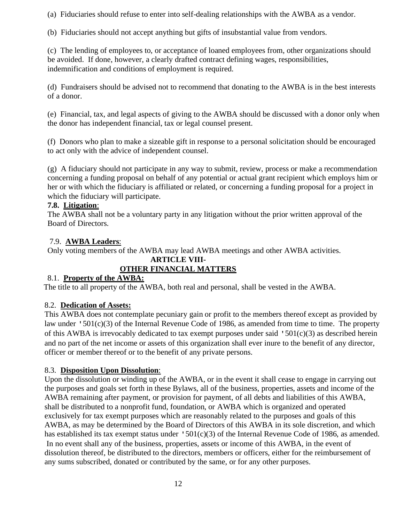(a) Fiduciaries should refuse to enter into self-dealing relationships with the AWBA as a vendor.

(b) Fiduciaries should not accept anything but gifts of insubstantial value from vendors.

(c) The lending of employees to, or acceptance of loaned employees from, other organizations should be avoided. If done, however, a clearly drafted contract defining wages, responsibilities, indemnification and conditions of employment is required.

(d) Fundraisers should be advised not to recommend that donating to the AWBA is in the best interests of a donor.

(e) Financial, tax, and legal aspects of giving to the AWBA should be discussed with a donor only when the donor has independent financial, tax or legal counsel present.

(f) Donors who plan to make a sizeable gift in response to a personal solicitation should be encouraged to act only with the advice of independent counsel.

(g) A fiduciary should not participate in any way to submit, review, process or make a recommendation concerning a funding proposal on behalf of any potential or actual grant recipient which employs him or her or with which the fiduciary is affiliated or related, or concerning a funding proposal for a project in which the fiduciary will participate.

## **7.8. Litigation**:

The AWBA shall not be a voluntary party in any litigation without the prior written approval of the Board of Directors.

# 7.9. **AWBA Leaders**:

Only voting members of the AWBA may lead AWBA meetings and other AWBA activities.

#### **ARTICLE VIII-OTHER FINANCIAL MATTERS**

# 8.1. **Property of the AWBA:**

The title to all property of the AWBA, both real and personal, shall be vested in the AWBA.

# 8.2. **Dedication of Assets:**

This AWBA does not contemplate pecuniary gain or profit to the members thereof except as provided by law under '501(c)(3) of the Internal Revenue Code of 1986, as amended from time to time. The property of this AWBA is irrevocably dedicated to tax exempt purposes under said '501(c)(3) as described herein and no part of the net income or assets of this organization shall ever inure to the benefit of any director, officer or member thereof or to the benefit of any private persons.

# 8.3. **Disposition Upon Dissolution**:

Upon the dissolution or winding up of the AWBA, or in the event it shall cease to engage in carrying out the purposes and goals set forth in these Bylaws, all of the business, properties, assets and income of the AWBA remaining after payment, or provision for payment, of all debts and liabilities of this AWBA, shall be distributed to a nonprofit fund, foundation, or AWBA which is organized and operated exclusively for tax exempt purposes which are reasonably related to the purposes and goals of this AWBA, as may be determined by the Board of Directors of this AWBA in its sole discretion, and which has established its tax exempt status under '501(c)(3) of the Internal Revenue Code of 1986, as amended. In no event shall any of the business, properties, assets or income of this AWBA, in the event of dissolution thereof, be distributed to the directors, members or officers, either for the reimbursement of any sums subscribed, donated or contributed by the same, or for any other purposes.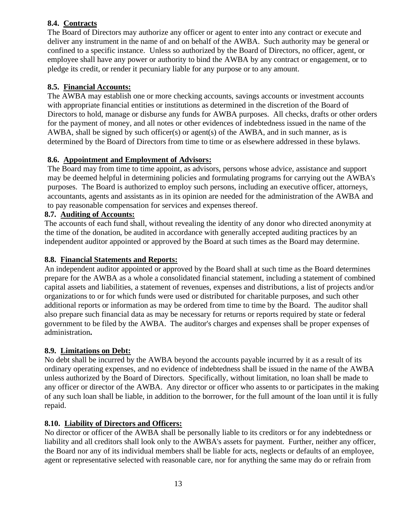# **8.4. Contracts**

The Board of Directors may authorize any officer or agent to enter into any contract or execute and deliver any instrument in the name of and on behalf of the AWBA. Such authority may be general or confined to a specific instance. Unless so authorized by the Board of Directors, no officer, agent, or employee shall have any power or authority to bind the AWBA by any contract or engagement, or to pledge its credit, or render it pecuniary liable for any purpose or to any amount.

# **8.5. Financial Accounts:**

The AWBA may establish one or more checking accounts, savings accounts or investment accounts with appropriate financial entities or institutions as determined in the discretion of the Board of Directors to hold, manage or disburse any funds for AWBA purposes. All checks, drafts or other orders for the payment of money, and all notes or other evidences of indebtedness issued in the name of the AWBA, shall be signed by such officer(s) or agent(s) of the AWBA, and in such manner, as is determined by the Board of Directors from time to time or as elsewhere addressed in these bylaws.

# **8.6. Appointment and Employment of Advisors:**

The Board may from time to time appoint, as advisors, persons whose advice, assistance and support may be deemed helpful in determining policies and formulating programs for carrying out the AWBA's purposes. The Board is authorized to employ such persons, including an executive officer, attorneys, accountants, agents and assistants as in its opinion are needed for the administration of the AWBA and to pay reasonable compensation for services and expenses thereof.

#### **8.7. Auditing of Accounts:**

The accounts of each fund shall, without revealing the identity of any donor who directed anonymity at the time of the donation, be audited in accordance with generally accepted auditing practices by an independent auditor appointed or approved by the Board at such times as the Board may determine.

#### **8.8. Financial Statements and Reports:**

An independent auditor appointed or approved by the Board shall at such time as the Board determines prepare for the AWBA as a whole a consolidated financial statement, including a statement of combined capital assets and liabilities, a statement of revenues, expenses and distributions, a list of projects and/or organizations to or for which funds were used or distributed for charitable purposes, and such other additional reports or information as may be ordered from time to time by the Board. The auditor shall also prepare such financial data as may be necessary for returns or reports required by state or federal government to be filed by the AWBA. The auditor's charges and expenses shall be proper expenses of administration**.**

# **8.9. Limitations on Debt:**

No debt shall be incurred by the AWBA beyond the accounts payable incurred by it as a result of its ordinary operating expenses, and no evidence of indebtedness shall be issued in the name of the AWBA unless authorized by the Board of Directors. Specifically, without limitation, no loan shall be made to any officer or director of the AWBA. Any director or officer who assents to or participates in the making of any such loan shall be liable, in addition to the borrower, for the full amount of the loan until it is fully repaid.

# **8.10. Liability of Directors and Officers:**

No director or officer of the AWBA shall be personally liable to its creditors or for any indebtedness or liability and all creditors shall look only to the AWBA's assets for payment. Further, neither any officer, the Board nor any of its individual members shall be liable for acts, neglects or defaults of an employee, agent or representative selected with reasonable care, nor for anything the same may do or refrain from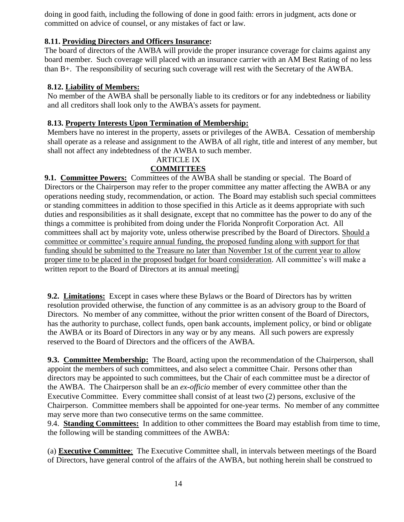doing in good faith, including the following of done in good faith: errors in judgment, acts done or committed on advice of counsel, or any mistakes of fact or law.

# **8.11. Providing Directors and Officers Insurance:**

The board of directors of the AWBA will provide the proper insurance coverage for claims against any board member. Such coverage will placed with an insurance carrier with an AM Best Rating of no less than B+. The responsibility of securing such coverage will rest with the Secretary of the AWBA.

# **8.12. Liability of Members:**

No member of the AWBA shall be personally liable to its creditors or for any indebtedness or liability and all creditors shall look only to the AWBA's assets for payment.

# **8.13. Property Interests Upon Termination of Membership:**

Members have no interest in the property, assets or privileges of the AWBA. Cessation of membership shall operate as a release and assignment to the AWBA of all right, title and interest of any member, but shall not affect any indebtedness of the AWBA to such member.

# ARTICLE IX

# **COMMITTEES**

**9.1. Committee Powers:** Committees of the AWBA shall be standing or special. The Board of Directors or the Chairperson may refer to the proper committee any matter affecting the AWBA or any operations needing study, recommendation, or action. The Board may establish such special committees or standing committees in addition to those specified in this Article as it deems appropriate with such duties and responsibilities as it shall designate, except that no committee has the power to do any of the things a committee is prohibited from doing under the Florida Nonprofit Corporation Act. All committees shall act by majority vote, unless otherwise prescribed by the Board of Directors. Should a committee or committee's require annual funding, the proposed funding along with support for that funding should be submitted to the Treasure no later than November 1st of the current year to allow proper time to be placed in the proposed budget for board consideration. All committee's will make a written report to the Board of Directors at its annual meeting*.* 

**9.2. Limitations:** Except in cases where these Bylaws or the Board of Directors has by written resolution provided otherwise, the function of any committee is as an advisory group to the Board of Directors. No member of any committee, without the prior written consent of the Board of Directors, has the authority to purchase, collect funds, open bank accounts, implement policy, or bind or obligate the AWBA or its Board of Directors in any way or by any means. All such powers are expressly reserved to the Board of Directors and the officers of the AWBA*.* 

**9.3. Committee Membership:** The Board, acting upon the recommendation of the Chairperson, shall appoint the members of such committees, and also select a committee Chair. Persons other than directors may be appointed to such committees, but the Chair of each committee must be a director of the AWBA. The Chairperson shall be an *ex-officio* member of every committee other than the Executive Committee. Every committee shall consist of at least two (2) persons, exclusive of the Chairperson. Committee members shall be appointed for one-year terms. No member of any committee may serve more than two consecutive terms on the same committee.

9.4. **Standing Committees:** In addition to other committees the Board may establish from time to time, the following will be standing committees of the AWBA:

(a) **Executive Committee**: The Executive Committee shall, in intervals between meetings of the Board of Directors, have general control of the affairs of the AWBA, but nothing herein shall be construed to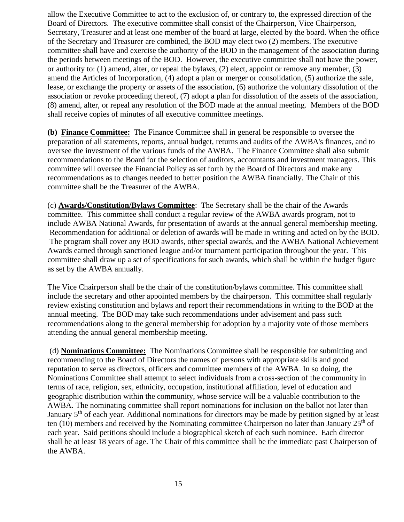allow the Executive Committee to act to the exclusion of, or contrary to, the expressed direction of the Board of Directors. The executive committee shall consist of the Chairperson, Vice Chairperson, Secretary, Treasurer and at least one member of the board at large, elected by the board. When the office of the Secretary and Treasurer are combined, the BOD may elect two (2) members. The executive committee shall have and exercise the authority of the BOD in the management of the association during the periods between meetings of the BOD. However, the executive committee shall not have the power, or authority to: (1) amend, alter, or repeal the bylaws, (2) elect, appoint or remove any member, (3) amend the Articles of Incorporation, (4) adopt a plan or merger or consolidation, (5) authorize the sale, lease, or exchange the property or assets of the association, (6) authorize the voluntary dissolution of the association or revoke proceeding thereof, (7) adopt a plan for dissolution of the assets of the association, (8) amend, alter, or repeal any resolution of the BOD made at the annual meeting. Members of the BOD shall receive copies of minutes of all executive committee meetings.

**(b) Finance Committee:** The Finance Committee shall in general be responsible to oversee the preparation of all statements, reports, annual budget, returns and audits of the AWBA's finances, and to oversee the investment of the various funds of the AWBA. The Finance Committee shall also submit recommendations to the Board for the selection of auditors, accountants and investment managers. This committee will oversee the Financial Policy as set forth by the Board of Directors and make any recommendations as to changes needed to better position the AWBA financially. The Chair of this committee shall be the Treasurer of the AWBA.

(c) **Awards/Constitution/Bylaws Committee**: The Secretary shall be the chair of the Awards committee. This committee shall conduct a regular review of the AWBA awards program, not to include AWBA National Awards, for presentation of awards at the annual general membership meeting. Recommendation for additional or deletion of awards will be made in writing and acted on by the BOD. The program shall cover any BOD awards, other special awards, and the AWBA National Achievement Awards earned through sanctioned league and/or tournament participation throughout the year. This committee shall draw up a set of specifications for such awards, which shall be within the budget figure as set by the AWBA annually.

The Vice Chairperson shall be the chair of the constitution/bylaws committee. This committee shall include the secretary and other appointed members by the chairperson. This committee shall regularly review existing constitution and bylaws and report their recommendations in writing to the BOD at the annual meeting. The BOD may take such recommendations under advisement and pass such recommendations along to the general membership for adoption by a majority vote of those members attending the annual general membership meeting.

(d) **Nominations Committee:** The Nominations Committee shall be responsible for submitting and recommending to the Board of Directors the names of persons with appropriate skills and good reputation to serve as directors, officers and committee members of the AWBA. In so doing, the Nominations Committee shall attempt to select individuals from a cross-section of the community in terms of race, religion, sex, ethnicity, occupation, institutional affiliation, level of education and geographic distribution within the community, whose service will be a valuable contribution to the AWBA. The nominating committee shall report nominations for inclusion on the ballot not later than January 5<sup>th</sup> of each year. Additional nominations for directors may be made by petition signed by at least ten (10) members and received by the Nominating committee Chairperson no later than January  $25<sup>th</sup>$  of each year. Said petitions should include a biographical sketch of each such nominee. Each director shall be at least 18 years of age. The Chair of this committee shall be the immediate past Chairperson of the AWBA.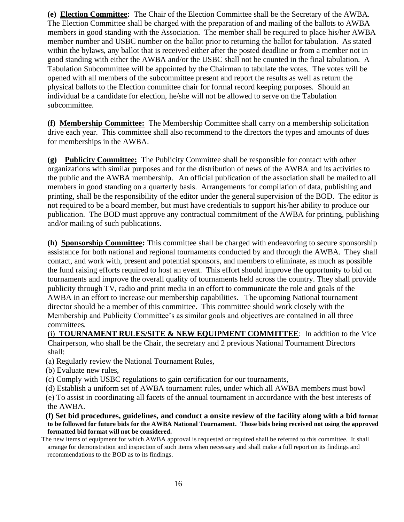**(e) Election Committee:** The Chair of the Election Committee shall be the Secretary of the AWBA. The Election Committee shall be charged with the preparation of and mailing of the ballots to AWBA members in good standing with the Association. The member shall be required to place his/her AWBA member number and USBC number on the ballot prior to returning the ballot for tabulation. As stated within the bylaws, any ballot that is received either after the posted deadline or from a member not in good standing with either the AWBA and/or the USBC shall not be counted in the final tabulation. A Tabulation Subcommittee will be appointed by the Chairman to tabulate the votes. The votes will be opened with all members of the subcommittee present and report the results as well as return the physical ballots to the Election committee chair for formal record keeping purposes. Should an individual be a candidate for election, he/she will not be allowed to serve on the Tabulation subcommittee.

**(f) Membership Committee:** The Membership Committee shall carry on a membership solicitation drive each year. This committee shall also recommend to the directors the types and amounts of dues for memberships in the AWBA.

**(g) Publicity Committee:** The Publicity Committee shall be responsible for contact with other organizations with similar purposes and for the distribution of news of the AWBA and its activities to the public and the AWBA membership. An official publication of the association shall be mailed to all members in good standing on a quarterly basis. Arrangements for compilation of data, publishing and printing, shall be the responsibility of the editor under the general supervision of the BOD. The editor is not required to be a board member, but must have credentials to support his/her ability to produce our publication. The BOD must approve any contractual commitment of the AWBA for printing, publishing and/or mailing of such publications.

**(h) Sponsorship Committee:** This committee shall be charged with endeavoring to secure sponsorship assistance for both national and regional tournaments conducted by and through the AWBA. They shall contact, and work with, present and potential sponsors, and members to eliminate, as much as possible the fund raising efforts required to host an event. This effort should improve the opportunity to bid on tournaments and improve the overall quality of tournaments held across the country. They shall provide publicity through TV, radio and print media in an effort to communicate the role and goals of the AWBA in an effort to increase our membership capabilities. The upcoming National tournament director should be a member of this committee. This committee should work closely with the Membership and Publicity Committee's as similar goals and objectives are contained in all three committees*.*

 (i) **TOURNAMENT RULES/SITE & NEW EQUIPMENT COMMITTEE**: In addition to the Vice Chairperson, who shall be the Chair, the secretary and 2 previous National Tournament Directors shall:

- (a) Regularly review the National Tournament Rules,
- (b) Evaluate new rules,
- (c) Comply with USBC regulations to gain certification for our tournaments,

(d) Establish a uniform set of AWBA tournament rules, under which all AWBA members must bowl

 (e) To assist in coordinating all facets of the annual tournament in accordance with the best interests of the AWBA.

 **(f) Set bid procedures, guidelines, and conduct a onsite review of the facility along with a bid format to be followed for future bids for the AWBA National Tournament. Those bids being received not using the approved formatted bid format will not be considered.**

 The new items of equipment for which AWBA approval is requested or required shall be referred to this committee. It shall arrange for demonstration and inspection of such items when necessary and shall make a full report on its findings and recommendations to the BOD as to its findings.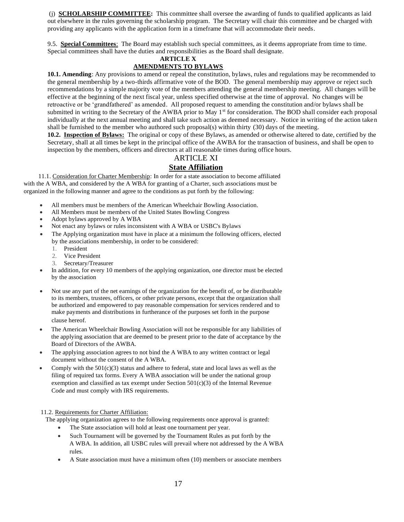(j) **SCHOLARSHIP COMMITTEE:** This committee shall oversee the awarding of funds to qualified applicants as laid out elsewhere in the rules governing the scholarship program. The Secretary will chair this committee and be charged with providing any applicants with the application form in a timeframe that will accommodate their needs.

9.5. **Special Committees**: The Board may establish such special committees, as it deems appropriate from time to time. Special committees shall have the duties and responsibilities as the Board shall designate.

#### **ARTICLE X**

#### **AMENDMENTS TO BYLAWS**

**10.1. Amending**: Any provisions to amend or repeal the constitution, bylaws, rules and regulations may be recommended to the general membership by a two-thirds affirmative vote of the BOD. The general membership may approve or reject such recommendations by a simple majority vote of the members attending the general membership meeting. All changes will be effective at the beginning of the next fiscal year, unless specified otherwise at the time of approval. No changes will be retroactive or be 'grandfathered' as amended. All proposed request to amending the constitution and/or bylaws shall be submitted in writing to the Secretary of the AWBA prior to May 1<sup>st</sup> for consideration. The BOD shall consider each proposal individually at the next annual meeting and shall take such action as deemed necessary. Notice in writing of the action taken shall be furnished to the member who authored such proposal(s) within thirty (30) days of the meeting.

**10.2. Inspection of Bylaws:** The original or copy of these Bylaws, as amended or otherwise altered to date, certified by the Secretary, shall at all times be kept in the principal office of the AWBA for the transaction of business, and shall be open to inspection by the members, officers and directors at all reasonable times during office hours.

#### ARTICLE XI

#### **State Affiliation**

 11.1. Consideration for Charter Membership: In order for a state association to become affiliated with the A WBA, and considered by the A WBA for granting of a Charter, such associations must be organized in the following manner and agree to the conditions as put forth by the following:

- All members must be members of the American Wheelchair Bowling Association.
- All Members must be members of the United States Bowling Congress
- Adopt bylaws approved by A WBA
- Not enact any bylaws or rules inconsistent with A WBA or USBC's Bylaws
- The Applying organization must have in place at a minimum the following officers, elected by the associations membership, in order to be considered:
	- 1. President
	- 2. Vice President
	- 3. Secretary/Treasurer
- In addition, for every 10 members of the applying organization, one director must be elected by the association
- Not use any part of the net earnings of the organization for the benefit of, or be distributable to its members, trustees, officers, or other private persons, except that the organization shall be authorized and empowered to pay reasonable compensation for services rendered and to make payments and distributions in furtherance of the purposes set forth in the purpose clause hereof.
- The American Wheelchair Bowling Association will not be responsible for any liabilities of the applying association that are deemed to be present prior to the date of acceptance by the Board of Directors of the AWBA.
- The applying association agrees to not bind the A WBA to any written contract or legal document without the consent of the A WBA.
- Comply with the  $501(c)(3)$  status and adhere to federal, state and local laws as well as the filing of required tax forms. Every A WBA association will be under the national group exemption and classified as tax exempt under Section  $501(c)(3)$  of the Internal Revenue Code and must comply with IRS requirements.

11.2. Requirements for Charter Affiliation:

The applying organization agrees to the following requirements once approval is granted:

- The State association will hold at least one tournament per year.
- Such Tournament will be governed by the Tournament Rules as put forth by the A WBA. In addition, all USBC rules will prevail where not addressed by the A WBA rules.
- A State association must have a minimum often (10) members or associate members